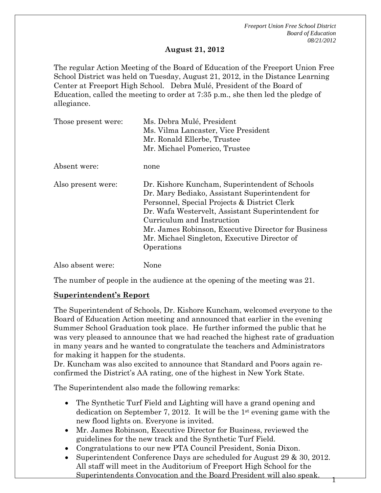*Freeport Union Free School District Board of Education 08/21/2012* 

1

#### **August 21, 2012**

The regular Action Meeting of the Board of Education of the Freeport Union Free School District was held on Tuesday, August 21, 2012, in the Distance Learning Center at Freeport High School. Debra Mulé, President of the Board of Education, called the meeting to order at 7:35 p.m., she then led the pledge of allegiance.

| Those present were: | Ms. Debra Mulé, President<br>Ms. Vilma Lancaster, Vice President<br>Mr. Ronald Ellerbe, Trustee<br>Mr. Michael Pomerico, Trustee                                                                                                                                                                                                                         |
|---------------------|----------------------------------------------------------------------------------------------------------------------------------------------------------------------------------------------------------------------------------------------------------------------------------------------------------------------------------------------------------|
| Absent were:        | none                                                                                                                                                                                                                                                                                                                                                     |
| Also present were:  | Dr. Kishore Kuncham, Superintendent of Schools<br>Dr. Mary Bediako, Assistant Superintendent for<br>Personnel, Special Projects & District Clerk<br>Dr. Wafa Westervelt, Assistant Superintendent for<br>Curriculum and Instruction<br>Mr. James Robinson, Executive Director for Business<br>Mr. Michael Singleton, Executive Director of<br>Operations |
| Also absent were:   | None                                                                                                                                                                                                                                                                                                                                                     |

The number of people in the audience at the opening of the meeting was 21.

#### **Superintendent's Report**

The Superintendent of Schools, Dr. Kishore Kuncham, welcomed everyone to the Board of Education Action meeting and announced that earlier in the evening Summer School Graduation took place. He further informed the public that he was very pleased to announce that we had reached the highest rate of graduation in many years and he wanted to congratulate the teachers and Administrators for making it happen for the students.

Dr. Kuncham was also excited to announce that Standard and Poors again reconfirmed the District's AA rating, one of the highest in New York State.

The Superintendent also made the following remarks:

- The Synthetic Turf Field and Lighting will have a grand opening and dedication on September 7, 2012. It will be the 1<sup>st</sup> evening game with the new flood lights on. Everyone is invited.
- Mr. James Robinson, Executive Director for Business, reviewed the guidelines for the new track and the Synthetic Turf Field.
- Congratulations to our new PTA Council President, Sonia Dixon.
- Superintendent Conference Days are scheduled for August 29 & 30, 2012. All staff will meet in the Auditorium of Freeport High School for the Superintendents Convocation and the Board President will also speak.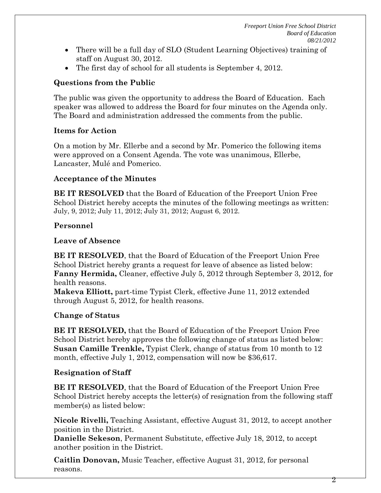- There will be a full day of SLO (Student Learning Objectives) training of staff on August 30, 2012.
- The first day of school for all students is September 4, 2012.

### **Questions from the Public**

The public was given the opportunity to address the Board of Education. Each speaker was allowed to address the Board for four minutes on the Agenda only. The Board and administration addressed the comments from the public.

## **Items for Action**

On a motion by Mr. Ellerbe and a second by Mr. Pomerico the following items were approved on a Consent Agenda. The vote was unanimous, Ellerbe, Lancaster, Mulé and Pomerico.

### **Acceptance of the Minutes**

**BE IT RESOLVED** that the Board of Education of the Freeport Union Free School District hereby accepts the minutes of the following meetings as written: July, 9, 2012; July 11, 2012; July 31, 2012; August 6, 2012.

## **Personnel**

### **Leave of Absence**

**BE IT RESOLVED**, that the Board of Education of the Freeport Union Free School District hereby grants a request for leave of absence as listed below: **Fanny Hermida,** Cleaner, effective July 5, 2012 through September 3, 2012, for health reasons.

**Makeva Elliott,** part-time Typist Clerk, effective June 11, 2012 extended through August 5, 2012, for health reasons.

# **Change of Status**

**BE IT RESOLVED,** that the Board of Education of the Freeport Union Free School District hereby approves the following change of status as listed below: **Susan Camille Trenkle,** Typist Clerk, change of status from 10 month to 12 month, effective July 1, 2012, compensation will now be \$36,617.

# **Resignation of Staff**

**BE IT RESOLVED**, that the Board of Education of the Freeport Union Free School District hereby accepts the letter(s) of resignation from the following staff member(s) as listed below:

**Nicole Rivelli,** Teaching Assistant, effective August 31, 2012, to accept another position in the District.

**Danielle Sekeson**, Permanent Substitute, effective July 18, 2012, to accept another position in the District.

**Caitlin Donovan,** Music Teacher, effective August 31, 2012, for personal reasons.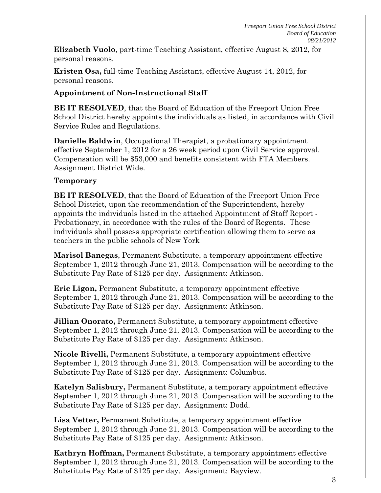**Elizabeth Vuolo**, part-time Teaching Assistant, effective August 8, 2012, for personal reasons.

**Kristen Osa,** full-time Teaching Assistant, effective August 14, 2012, for personal reasons.

### **Appointment of Non-Instructional Staff**

**BE IT RESOLVED**, that the Board of Education of the Freeport Union Free School District hereby appoints the individuals as listed, in accordance with Civil Service Rules and Regulations.

**Danielle Baldwin**, Occupational Therapist, a probationary appointment effective September 1, 2012 for a 26 week period upon Civil Service approval. Compensation will be \$53,000 and benefits consistent with FTA Members. Assignment District Wide.

### **Temporary**

**BE IT RESOLVED**, that the Board of Education of the Freeport Union Free School District, upon the recommendation of the Superintendent, hereby appoints the individuals listed in the attached Appointment of Staff Report - Probationary, in accordance with the rules of the Board of Regents. These individuals shall possess appropriate certification allowing them to serve as teachers in the public schools of New York

**Marisol Banegas**, Permanent Substitute, a temporary appointment effective September 1, 2012 through June 21, 2013. Compensation will be according to the Substitute Pay Rate of \$125 per day. Assignment: Atkinson.

**Eric Ligon,** Permanent Substitute, a temporary appointment effective September 1, 2012 through June 21, 2013. Compensation will be according to the Substitute Pay Rate of \$125 per day. Assignment: Atkinson.

**Jillian Onorato,** Permanent Substitute, a temporary appointment effective September 1, 2012 through June 21, 2013. Compensation will be according to the Substitute Pay Rate of \$125 per day. Assignment: Atkinson.

**Nicole Rivelli,** Permanent Substitute, a temporary appointment effective September 1, 2012 through June 21, 2013. Compensation will be according to the Substitute Pay Rate of \$125 per day. Assignment: Columbus.

**Katelyn Salisbury,** Permanent Substitute, a temporary appointment effective September 1, 2012 through June 21, 2013. Compensation will be according to the Substitute Pay Rate of \$125 per day. Assignment: Dodd.

**Lisa Vetter,** Permanent Substitute, a temporary appointment effective September 1, 2012 through June 21, 2013. Compensation will be according to the Substitute Pay Rate of \$125 per day. Assignment: Atkinson.

**Kathryn Hoffman,** Permanent Substitute, a temporary appointment effective September 1, 2012 through June 21, 2013. Compensation will be according to the Substitute Pay Rate of \$125 per day. Assignment: Bayview.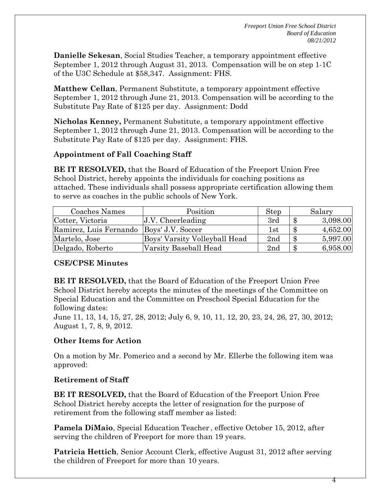**Danielle Sekesan**, Social Studies Teacher, a temporary appointment effective September 1, 2012 through August 31, 2013. Compensation will be on step 1-1C of the U3C Schedule at \$58,347. Assignment: FHS.

**Matthew Cellan**, Permanent Substitute, a temporary appointment effective September 1, 2012 through June 21, 2013. Compensation will be according to the Substitute Pay Rate of \$125 per day. Assignment: Dodd

**Nicholas Kenney,** Permanent Substitute, a temporary appointment effective September 1, 2012 through June 21, 2013. Compensation will be according to the Substitute Pay Rate of \$125 per day. Assignment: FHS.

### **Appointment of Fall Coaching Staff**

**BE IT RESOLVED,** that the Board of Education of the Freeport Union Free School District, hereby appoints the individuals for coaching positions as attached. These individuals shall possess appropriate certification allowing them to serve as coaches in the public schools of New York.

| Coaches Names                              | Position                      | <b>Step</b> | Salary                        |
|--------------------------------------------|-------------------------------|-------------|-------------------------------|
| Cotter, Victoria                           | $J.V.$ Cheerleading           | 3rd         | 3,098.00<br>$\boldsymbol{\$}$ |
| Ramirez, Luis Fernando   Boys' J.V. Soccer |                               | 1st         | 4,652.00<br>$\mathbf{\$}$     |
| Martelo, Jose                              | Boys' Varsity Volleyball Head | 2nd         | 5,997.00<br>$\boldsymbol{\$}$ |
| Delgado, Roberto                           | Varsity Baseball Head         | 2nd         | 6,958.00<br>$\boldsymbol{\$}$ |

### **CSE/CPSE Minutes**

**BE IT RESOLVED,** that the Board of Education of the Freeport Union Free School District hereby accepts the minutes of the meetings of the Committee on Special Education and the Committee on Preschool Special Education for the following dates:

June 11, 13, 14, 15, 27, 28, 2012; July 6, 9, 10, 11, 12, 20, 23, 24, 26, 27, 30, 2012; August 1, 7, 8, 9, 2012.

### **Other Items for Action**

On a motion by Mr. Pomerico and a second by Mr. Ellerbe the following item was approved:

### **Retirement of Staff**

**BE IT RESOLVED,** that the Board of Education of the Freeport Union Free School District hereby accepts the letter of resignation for the purpose of retirement from the following staff member as listed:

**Pamela DiMaio**, Special Education Teacher , effective October 15, 2012, after serving the children of Freeport for more than 19 years.

**Patricia Hettich**, Senior Account Clerk, effective August 31, 2012 after serving the children of Freeport for more than 10 years.

4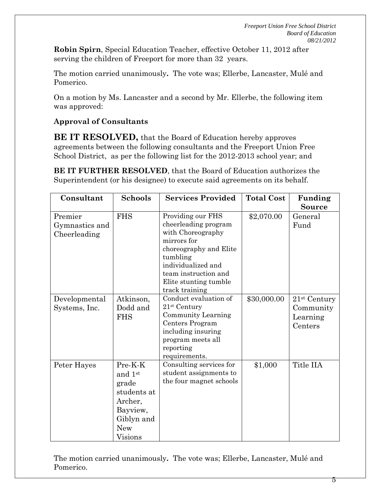**Robin Spirn**, Special Education Teacher, effective October 11, 2012 after serving the children of Freeport for more than 32 years.

The motion carried unanimously**.** The vote was; Ellerbe, Lancaster, Mulé and Pomerico.

On a motion by Ms. Lancaster and a second by Mr. Ellerbe, the following item was approved:

### **Approval of Consultants**

**BE IT RESOLVED,** that the Board of Education hereby approves agreements between the following consultants and the Freeport Union Free School District, as per the following list for the 2012-2013 school year; and

**BE IT FURTHER RESOLVED**, that the Board of Education authorizes the Superintendent (or his designee) to execute said agreements on its behalf.

| Consultant                                | <b>Schools</b>                                                                                                  | <b>Services Provided</b>                                                                                                                                                                                     | <b>Total Cost</b> | Funding<br><b>Source</b>                           |
|-------------------------------------------|-----------------------------------------------------------------------------------------------------------------|--------------------------------------------------------------------------------------------------------------------------------------------------------------------------------------------------------------|-------------------|----------------------------------------------------|
| Premier<br>Gymnastics and<br>Cheerleading | <b>FHS</b>                                                                                                      | Providing our FHS<br>cheerleading program<br>with Choreography<br>mirrors for<br>choreography and Elite<br>tumbling<br>individualized and<br>team instruction and<br>Elite stunting tumble<br>track training | \$2,070.00        | General<br>Fund                                    |
| Developmental<br>Systems, Inc.            | Atkinson,<br>Dodd and<br><b>FHS</b>                                                                             | Conduct evaluation of<br>$21st$ Century<br>Community Learning<br>Centers Program<br>including insuring<br>program meets all<br>reporting<br>requirements.                                                    | \$30,000.00       | $21st$ Century<br>Community<br>Learning<br>Centers |
| Peter Hayes                               | Pre-K-K<br>and 1st<br>grade<br>students at<br>Archer,<br>Bayview,<br>Giblyn and<br><b>New</b><br><b>Visions</b> | Consulting services for<br>student assignments to<br>the four magnet schools                                                                                                                                 | \$1,000           | Title IIA                                          |

The motion carried unanimously**.** The vote was; Ellerbe, Lancaster, Mulé and Pomerico.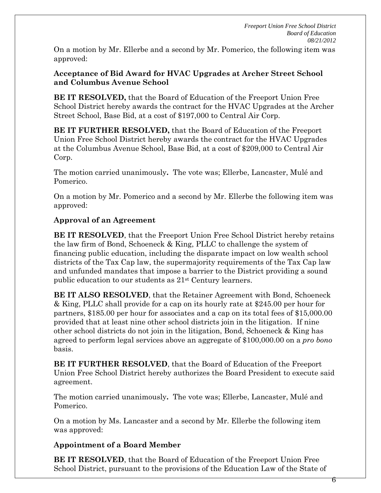On a motion by Mr. Ellerbe and a second by Mr. Pomerico, the following item was approved:

### **Acceptance of Bid Award for HVAC Upgrades at Archer Street School and Columbus Avenue School**

**BE IT RESOLVED,** that the Board of Education of the Freeport Union Free School District hereby awards the contract for the HVAC Upgrades at the Archer Street School, Base Bid, at a cost of \$197,000 to Central Air Corp.

**BE IT FURTHER RESOLVED,** that the Board of Education of the Freeport Union Free School District hereby awards the contract for the HVAC Upgrades at the Columbus Avenue School, Base Bid, at a cost of \$209,000 to Central Air Corp.

The motion carried unanimously**.** The vote was; Ellerbe, Lancaster, Mulé and Pomerico.

On a motion by Mr. Pomerico and a second by Mr. Ellerbe the following item was approved:

## **Approval of an Agreement**

**BE IT RESOLVED**, that the Freeport Union Free School District hereby retains the law firm of Bond, Schoeneck & King, PLLC to challenge the system of financing public education, including the disparate impact on low wealth school districts of the Tax Cap law, the supermajority requirements of the Tax Cap law and unfunded mandates that impose a barrier to the District providing a sound public education to our students as 21st Century learners.

**BE IT ALSO RESOLVED**, that the Retainer Agreement with Bond, Schoeneck & King, PLLC shall provide for a cap on its hourly rate at \$245.00 per hour for partners, \$185.00 per hour for associates and a cap on its total fees of \$15,000.00 provided that at least nine other school districts join in the litigation. If nine other school districts do not join in the litigation, Bond, Schoeneck & King has agreed to perform legal services above an aggregate of \$100,000.00 on a *pro bono* basis.

**BE IT FURTHER RESOLVED**, that the Board of Education of the Freeport Union Free School District hereby authorizes the Board President to execute said agreement.

The motion carried unanimously**.** The vote was; Ellerbe, Lancaster, Mulé and Pomerico.

On a motion by Ms. Lancaster and a second by Mr. Ellerbe the following item was approved:

# **Appointment of a Board Member**

**BE IT RESOLVED**, that the Board of Education of the Freeport Union Free School District, pursuant to the provisions of the Education Law of the State of